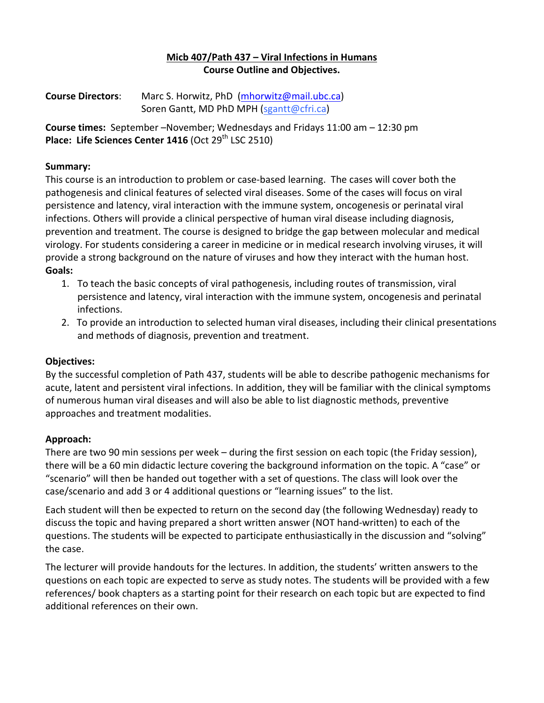### **Micb 407/Path 437 – Viral Infections in Humans Course Outline and Objectives.**

**Course Directors:** Marc S. Horwitz, PhD (mhorwitz@mail.ubc.ca) Soren Gantt, MD PhD MPH (sgantt@cfri.ca)

**Course times:** September -November; Wednesdays and Fridays 11:00 am - 12:30 pm **Place: Life Sciences Center 1416** (Oct 29<sup>th</sup> LSC 2510)

#### **Summary:**

This course is an introduction to problem or case-based learning. The cases will cover both the pathogenesis and clinical features of selected viral diseases. Some of the cases will focus on viral persistence and latency, viral interaction with the immune system, oncogenesis or perinatal viral infections. Others will provide a clinical perspective of human viral disease including diagnosis, prevention and treatment. The course is designed to bridge the gap between molecular and medical virology. For students considering a career in medicine or in medical research involving viruses, it will provide a strong background on the nature of viruses and how they interact with the human host. **Goals:**

- 1. To teach the basic concepts of viral pathogenesis, including routes of transmission, viral persistence and latency, viral interaction with the immune system, oncogenesis and perinatal infections.
- 2. To provide an introduction to selected human viral diseases, including their clinical presentations and methods of diagnosis, prevention and treatment.

### **Objectives:**

By the successful completion of Path 437, students will be able to describe pathogenic mechanisms for acute, latent and persistent viral infections. In addition, they will be familiar with the clinical symptoms of numerous human viral diseases and will also be able to list diagnostic methods, preventive approaches and treatment modalities.

### **Approach:**

There are two 90 min sessions per week – during the first session on each topic (the Friday session), there will be a 60 min didactic lecture covering the background information on the topic. A "case" or "scenario" will then be handed out together with a set of questions. The class will look over the case/scenario and add 3 or 4 additional questions or "learning issues" to the list.

Each student will then be expected to return on the second day (the following Wednesday) ready to discuss the topic and having prepared a short written answer (NOT hand-written) to each of the questions. The students will be expected to participate enthusiastically in the discussion and "solving" the case.

The lecturer will provide handouts for the lectures. In addition, the students' written answers to the questions on each topic are expected to serve as study notes. The students will be provided with a few references/ book chapters as a starting point for their research on each topic but are expected to find additional references on their own.